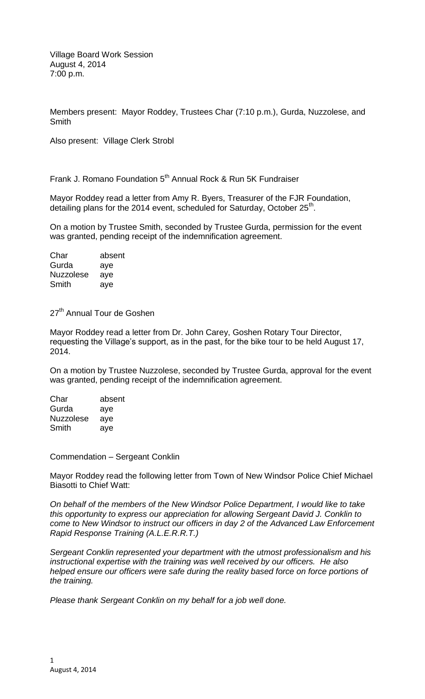Members present: Mayor Roddey, Trustees Char (7:10 p.m.), Gurda, Nuzzolese, and **Smith** 

Also present: Village Clerk Strobl

Frank J. Romano Foundation 5<sup>th</sup> Annual Rock & Run 5K Fundraiser

Mayor Roddey read a letter from Amy R. Byers, Treasurer of the FJR Foundation, detailing plans for the 2014 event, scheduled for Saturday, October 25<sup>th</sup>.

On a motion by Trustee Smith, seconded by Trustee Gurda, permission for the event was granted, pending receipt of the indemnification agreement.

| Char             | absent |
|------------------|--------|
| Gurda            | aye    |
| <b>Nuzzolese</b> | aye    |
| Smith            | aye    |

27<sup>th</sup> Annual Tour de Goshen

Mayor Roddey read a letter from Dr. John Carey, Goshen Rotary Tour Director, requesting the Village's support, as in the past, for the bike tour to be held August 17, 2014.

On a motion by Trustee Nuzzolese, seconded by Trustee Gurda, approval for the event was granted, pending receipt of the indemnification agreement.

| Char             | absent |
|------------------|--------|
| Gurda            | aye    |
| <b>Nuzzolese</b> | aye    |
| Smith            | aye    |

Commendation – Sergeant Conklin

Mayor Roddey read the following letter from Town of New Windsor Police Chief Michael Biasotti to Chief Watt:

*On behalf of the members of the New Windsor Police Department, I would like to take this opportunity to express our appreciation for allowing Sergeant David J. Conklin to come to New Windsor to instruct our officers in day 2 of the Advanced Law Enforcement Rapid Response Training (A.L.E.R.R.T.)*

*Sergeant Conklin represented your department with the utmost professionalism and his instructional expertise with the training was well received by our officers. He also helped ensure our officers were safe during the reality based force on force portions of the training.*

*Please thank Sergeant Conklin on my behalf for a job well done.*